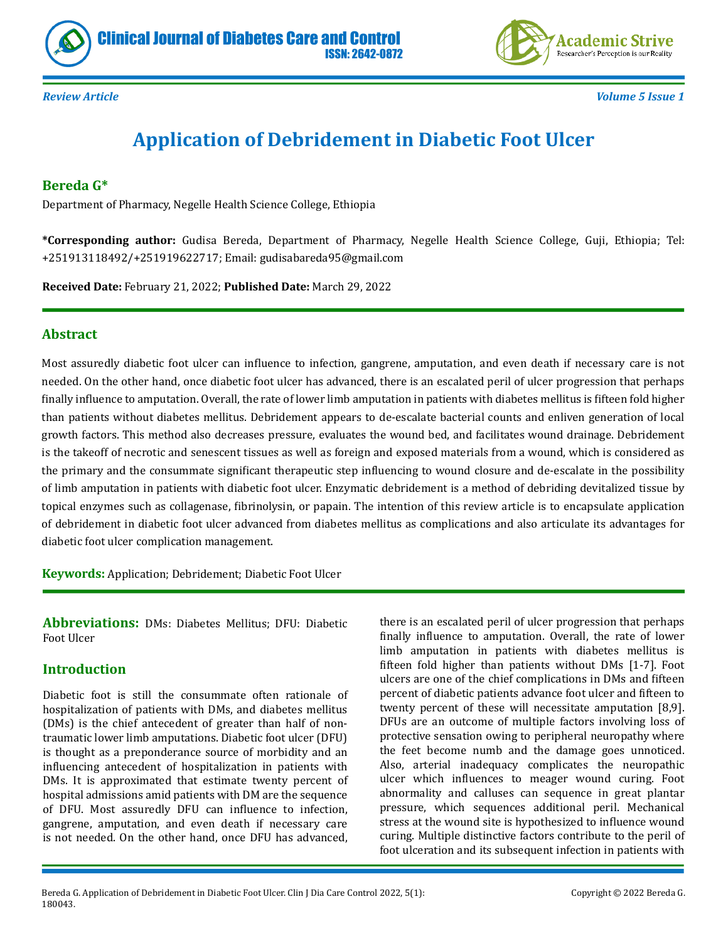



*Review Article Volume 5 Issue 1*

# **Application of Debridement in Diabetic Foot Ulcer**

# **Bereda G\***

Department of Pharmacy, Negelle Health Science College, Ethiopia

**\*Corresponding author:** Gudisa Bereda, Department of Pharmacy, Negelle Health Science College, Guji, Ethiopia; Tel: +251913118492/+251919622717; Email: gudisabareda95@gmail.com

**Received Date:** February 21, 2022; **Published Date:** March 29, 2022

## **Abstract**

Most assuredly diabetic foot ulcer can influence to infection, gangrene, amputation, and even death if necessary care is not needed. On the other hand, once diabetic foot ulcer has advanced, there is an escalated peril of ulcer progression that perhaps finally influence to amputation. Overall, the rate of lower limb amputation in patients with diabetes mellitus is fifteen fold higher than patients without diabetes mellitus. Debridement appears to de-escalate bacterial counts and enliven generation of local growth factors. This method also decreases pressure, evaluates the wound bed, and facilitates wound drainage. Debridement is the takeoff of necrotic and senescent tissues as well as foreign and exposed materials from a wound, which is considered as the primary and the consummate significant therapeutic step influencing to wound closure and de-escalate in the possibility of limb amputation in patients with diabetic foot ulcer. Enzymatic debridement is a method of debriding devitalized tissue by topical enzymes such as collagenase, fibrinolysin, or papain. The intention of this review article is to encapsulate application of debridement in diabetic foot ulcer advanced from diabetes mellitus as complications and also articulate its advantages for diabetic foot ulcer complication management.

**Keywords:** Application; Debridement; Diabetic Foot Ulcer

**Abbreviations:** DMs: Diabetes Mellitus; DFU: Diabetic Foot Ulcer

## **Introduction**

Diabetic foot is still the consummate often rationale of hospitalization of patients with DMs, and diabetes mellitus (DMs) is the chief antecedent of greater than half of nontraumatic lower limb amputations. Diabetic foot ulcer (DFU) is thought as a preponderance source of morbidity and an influencing antecedent of hospitalization in patients with DMs. It is approximated that estimate twenty percent of hospital admissions amid patients with DM are the sequence of DFU. Most assuredly DFU can influence to infection, gangrene, amputation, and even death if necessary care is not needed. On the other hand, once DFU has advanced,

there is an escalated peril of ulcer progression that perhaps finally influence to amputation. Overall, the rate of lower limb amputation in patients with diabetes mellitus is fifteen fold higher than patients without DMs [1-7]. Foot ulcers are one of the chief complications in DMs and fifteen percent of diabetic patients advance foot ulcer and fifteen to twenty percent of these will necessitate amputation [8,9]. DFUs are an outcome of multiple factors involving loss of protective sensation owing to peripheral neuropathy where the feet become numb and the damage goes unnoticed. Also, arterial inadequacy complicates the neuropathic ulcer which influences to meager wound curing. Foot abnormality and calluses can sequence in great plantar pressure, which sequences additional peril. Mechanical stress at the wound site is hypothesized to influence wound curing. Multiple distinctive factors contribute to the peril of foot ulceration and its subsequent infection in patients with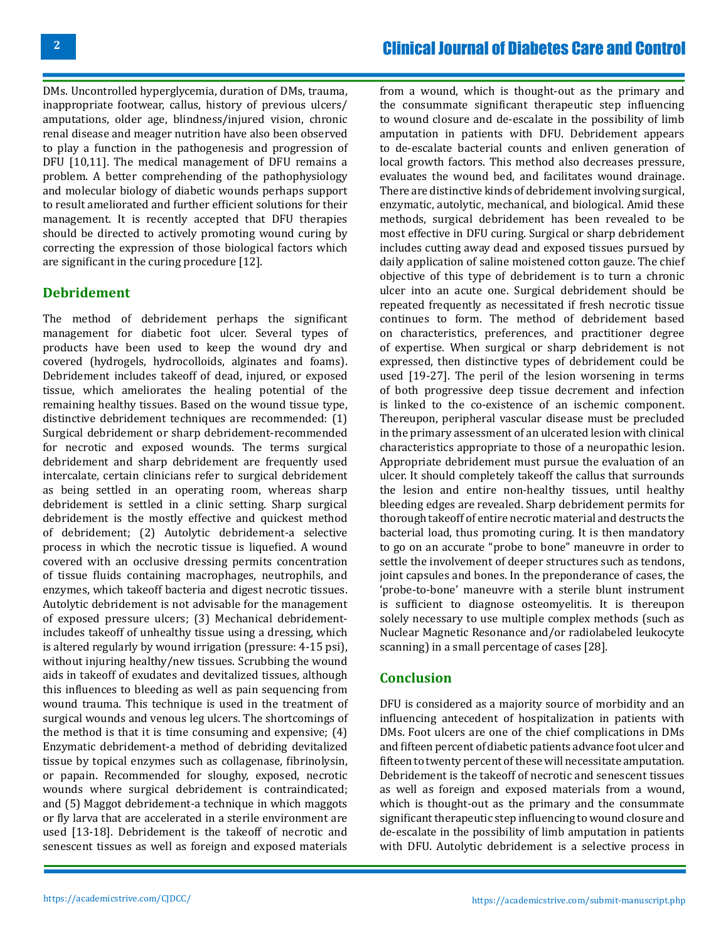DMs. Uncontrolled hyperglycemia, duration of DMs, trauma, inappropriate footwear, callus, history of previous ulcers/ amputations, older age, blindness/injured vision, chronic renal disease and meager nutrition have also been observed to play a function in the pathogenesis and progression of DFU [10,11]. The medical management of DFU remains a problem. A better comprehending of the pathophysiology and molecular biology of diabetic wounds perhaps support to result ameliorated and further efficient solutions for their management. It is recently accepted that DFU therapies should be directed to actively promoting wound curing by correcting the expression of those biological factors which are significant in the curing procedure [12].

#### **Debridement**

The method of debridement perhaps the significant management for diabetic foot ulcer. Several types of products have been used to keep the wound dry and covered (hydrogels, hydrocolloids, alginates and foams). Debridement includes takeoff of dead, injured, or exposed tissue, which ameliorates the healing potential of the remaining healthy tissues. Based on the wound tissue type, distinctive debridement techniques are recommended: (1) Surgical debridement or sharp debridement-recommended for necrotic and exposed wounds. The terms surgical debridement and sharp debridement are frequently used intercalate, certain clinicians refer to surgical debridement as being settled in an operating room, whereas sharp debridement is settled in a clinic setting. Sharp surgical debridement is the mostly effective and quickest method of debridement; (2) Autolytic debridement-a selective process in which the necrotic tissue is liquefied. A wound covered with an occlusive dressing permits concentration of tissue fluids containing macrophages, neutrophils, and enzymes, which takeoff bacteria and digest necrotic tissues. Autolytic debridement is not advisable for the management of exposed pressure ulcers; (3) Mechanical debridementincludes takeoff of unhealthy tissue using a dressing, which is altered regularly by wound irrigation (pressure: 4-15 psi), without injuring healthy/new tissues. Scrubbing the wound aids in takeoff of exudates and devitalized tissues, although this influences to bleeding as well as pain sequencing from wound trauma. This technique is used in the treatment of surgical wounds and venous leg ulcers. The shortcomings of the method is that it is time consuming and expensive; (4) Enzymatic debridement-a method of debriding devitalized tissue by topical enzymes such as collagenase, fibrinolysin, or papain. Recommended for sloughy, exposed, necrotic wounds where surgical debridement is contraindicated; and (5) Maggot debridement-a technique in which maggots or fly larva that are accelerated in a sterile environment are used [13-18]. Debridement is the takeoff of necrotic and senescent tissues as well as foreign and exposed materials

from a wound, which is thought-out as the primary and the consummate significant therapeutic step influencing to wound closure and de-escalate in the possibility of limb amputation in patients with DFU. Debridement appears to de-escalate bacterial counts and enliven generation of local growth factors. This method also decreases pressure, evaluates the wound bed, and facilitates wound drainage. There are distinctive kinds of debridement involving surgical, enzymatic, autolytic, mechanical, and biological. Amid these methods, surgical debridement has been revealed to be most effective in DFU curing. Surgical or sharp debridement includes cutting away dead and exposed tissues pursued by daily application of saline moistened cotton gauze. The chief objective of this type of debridement is to turn a chronic ulcer into an acute one. Surgical debridement should be repeated frequently as necessitated if fresh necrotic tissue continues to form. The method of debridement based on characteristics, preferences, and practitioner degree of expertise. When surgical or sharp debridement is not expressed, then distinctive types of debridement could be used [19-27]. The peril of the lesion worsening in terms of both progressive deep tissue decrement and infection is linked to the co-existence of an ischemic component. Thereupon, peripheral vascular disease must be precluded in the primary assessment of an ulcerated lesion with clinical characteristics appropriate to those of a neuropathic lesion. Appropriate debridement must pursue the evaluation of an ulcer. It should completely takeoff the callus that surrounds the lesion and entire non-healthy tissues, until healthy bleeding edges are revealed. Sharp debridement permits for thorough takeoff of entire necrotic material and destructs the bacterial load, thus promoting curing. It is then mandatory to go on an accurate "probe to bone" maneuvre in order to settle the involvement of deeper structures such as tendons, joint capsules and bones. In the preponderance of cases, the 'probe-to-bone' maneuvre with a sterile blunt instrument is sufficient to diagnose osteomyelitis. It is thereupon solely necessary to use multiple complex methods (such as Nuclear Magnetic Resonance and/or radiolabeled leukocyte scanning) in a small percentage of cases [28].

#### **Conclusion**

DFU is considered as a majority source of morbidity and an influencing antecedent of hospitalization in patients with DMs. Foot ulcers are one of the chief complications in DMs and fifteen percent of diabetic patients advance foot ulcer and fifteen to twenty percent of these will necessitate amputation. Debridement is the takeoff of necrotic and senescent tissues as well as foreign and exposed materials from a wound, which is thought-out as the primary and the consummate significant therapeutic step influencing to wound closure and de-escalate in the possibility of limb amputation in patients with DFU. Autolytic debridement is a selective process in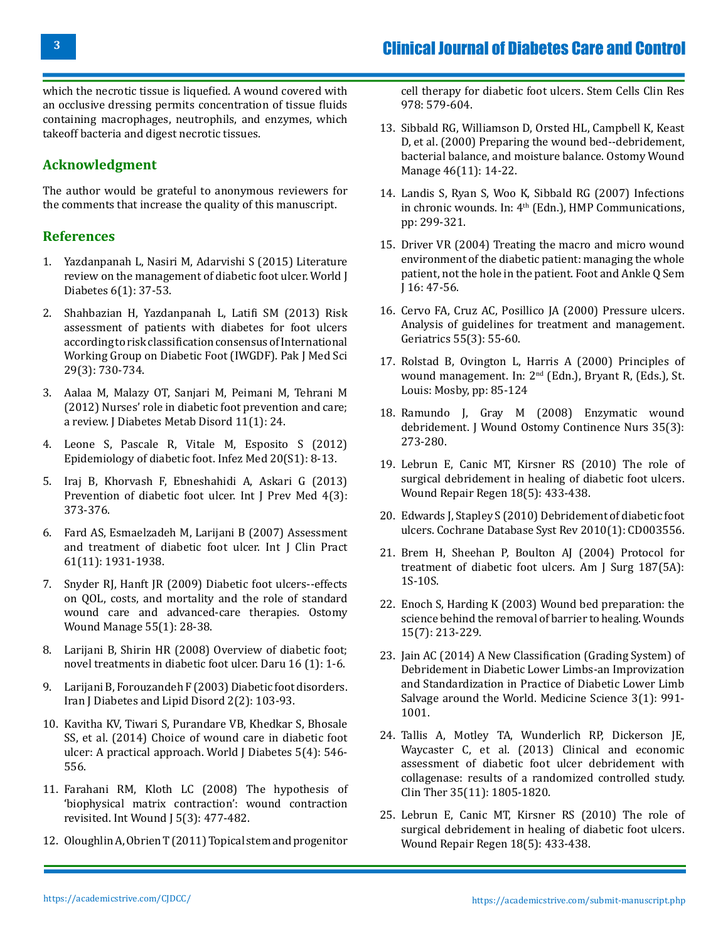which the necrotic tissue is liquefied. A wound covered with an occlusive dressing permits concentration of tissue fluids containing macrophages, neutrophils, and enzymes, which takeoff bacteria and digest necrotic tissues.

# **Acknowledgment**

The author would be grateful to anonymous reviewers for the comments that increase the quality of this manuscript.

## **References**

- 1. [Yazdanpanah L, Nasiri M, Adarvishi S \(2015\) Literature](https://pubmed.ncbi.nlm.nih.gov/25685277/) [review on the management of diabetic foot ulcer. World J](https://pubmed.ncbi.nlm.nih.gov/25685277/) [Diabetes 6\(1\): 37-53.](https://pubmed.ncbi.nlm.nih.gov/25685277/)
- 2. [Shahbazian H, Yazdanpanah L, Latifi SM \(2013\) Risk](https://pubmed.ncbi.nlm.nih.gov/24353617/) [assessment of patients with diabetes for foot ulcers](https://pubmed.ncbi.nlm.nih.gov/24353617/) [according to risk classification consensus of International](https://pubmed.ncbi.nlm.nih.gov/24353617/) [Working Group on Diabetic Foot \(IWGDF\). Pak J Med Sci](https://pubmed.ncbi.nlm.nih.gov/24353617/) [29\(3\): 730-734.](https://pubmed.ncbi.nlm.nih.gov/24353617/)
- 3. [Aalaa M, Malazy OT, Sanjari M, Peimani M, Tehrani M](https://pubmed.ncbi.nlm.nih.gov/23497582/) [\(2012\) Nurses' role in diabetic foot prevention and care;](https://pubmed.ncbi.nlm.nih.gov/23497582/) [a review. J Diabetes Metab Disord 11\(1\): 24.](https://pubmed.ncbi.nlm.nih.gov/23497582/)
- 4. [Leone S, Pascale R, Vitale M, Esposito S \(2012\)](https://pubmed.ncbi.nlm.nih.gov/22982692/) [Epidemiology of diabetic foot. Infez Med 20\(S1\): 8-13.](https://pubmed.ncbi.nlm.nih.gov/22982692/)
- 5. [Iraj B, Khorvash F, Ebneshahidi A, Askari G \(2013\)](https://pubmed.ncbi.nlm.nih.gov/23626896/) [Prevention of diabetic foot ulcer. Int J Prev Med 4\(3\):](https://pubmed.ncbi.nlm.nih.gov/23626896/) [373-376.](https://pubmed.ncbi.nlm.nih.gov/23626896/)
- 6. [Fard AS, Esmaelzadeh M, Larijani B \(2007\) Assessment](https://pubmed.ncbi.nlm.nih.gov/17935551/) [and treatment of diabetic foot ulcer. Int J Clin Pract](https://pubmed.ncbi.nlm.nih.gov/17935551/) [61\(11\): 1931-1938.](https://pubmed.ncbi.nlm.nih.gov/17935551/)
- 7. [Snyder RJ, Hanft JR \(2009\) Diabetic foot ulcers--effects](https://pubmed.ncbi.nlm.nih.gov/19934461/) [on QOL, costs, and mortality and the role of standard](https://pubmed.ncbi.nlm.nih.gov/19934461/) [wound care and advanced-care therapies. Ostomy](https://pubmed.ncbi.nlm.nih.gov/19934461/) [Wound Manage 55\(1\): 28-38.](https://pubmed.ncbi.nlm.nih.gov/19934461/)
- 8. Larijani B, Shirin HR (2008) Overview of diabetic foot; novel treatments in diabetic foot ulcer. Daru 16 (1): 1-6.
- 9. Larijani B, Forouzandeh F (2003) Diabetic foot disorders. Iran J Diabetes and Lipid Disord 2(2): 103-93.
- 10. [Kavitha KV, Tiwari S, Purandare VB, Khedkar S, Bhosale](https://pubmed.ncbi.nlm.nih.gov/25126400/) [SS, et al. \(2014\) Choice of wound care in diabetic foot](https://pubmed.ncbi.nlm.nih.gov/25126400/) [ulcer: A practical approach. World J Diabetes 5\(4\): 546-](https://pubmed.ncbi.nlm.nih.gov/25126400/) [556.](https://pubmed.ncbi.nlm.nih.gov/25126400/)
- 11. [Farahani RM, Kloth LC \(2008\) The hypothesis of](https://pubmed.ncbi.nlm.nih.gov/18593398/) ['biophysical matrix contraction': wound contraction](https://pubmed.ncbi.nlm.nih.gov/18593398/) [revisited. Int Wound J 5\(3\): 477-482.](https://pubmed.ncbi.nlm.nih.gov/18593398/)
- 12. Oloughlin A, Obrien T (2011) Topical stem and progenitor

cell therapy for diabetic foot ulcers. Stem Cells Clin Res 978: 579-604.

- 13. [Sibbald RG, Williamson D, Orsted HL, Campbell K, Keast](https://pubmed.ncbi.nlm.nih.gov/11889735/)  [D, et al. \(2000\) Preparing the wound bed--debridement,](https://pubmed.ncbi.nlm.nih.gov/11889735/)  [bacterial balance, and moisture balance. Ostomy Wound](https://pubmed.ncbi.nlm.nih.gov/11889735/) [Manage 46\(11\): 14-22.](https://pubmed.ncbi.nlm.nih.gov/11889735/)
- 14. Landis S, Ryan S, Woo K, Sibbald RG (2007) Infections in chronic wounds. In: 4<sup>th</sup> (Edn.), HMP Communications, pp: 299-321.
- 15. Driver VR (2004) Treating the macro and micro wound environment of the diabetic patient: managing the whole patient, not the hole in the patient. Foot and Ankle Q Sem J 16: 47-56.
- 16. [Cervo FA, Cruz AC, Posillico JA \(2000\) Pressure ulcers.](https://pubmed.ncbi.nlm.nih.gov/10732005/) [Analysis of guidelines for treatment and management.](https://pubmed.ncbi.nlm.nih.gov/10732005/) [Geriatrics 55\(3\): 55-60.](https://pubmed.ncbi.nlm.nih.gov/10732005/)
- 17. Rolstad B, Ovington L, Harris A (2000) Principles of wound management. In: 2nd (Edn.), Bryant R, (Eds.), St. Louis: Mosby, pp: 85-124
- 18. [Ramundo J, Gray M \(2008\) Enzymatic wound](https://pubmed.ncbi.nlm.nih.gov/18496083/) [debridement. J Wound Ostomy Continence Nurs 35\(3\):](https://pubmed.ncbi.nlm.nih.gov/18496083/) [273-280.](https://pubmed.ncbi.nlm.nih.gov/18496083/)
- 19. [Lebrun E, Canic MT, Kirsner RS \(2010\) The role of](https://pubmed.ncbi.nlm.nih.gov/20840517/) [surgical debridement in healing of diabetic foot ulcers.](https://pubmed.ncbi.nlm.nih.gov/20840517/) [Wound Repair Regen 18\(5\): 433-438.](https://pubmed.ncbi.nlm.nih.gov/20840517/)
- 20. [Edwards J, Stapley S \(2010\) Debridement of diabetic foot](https://pubmed.ncbi.nlm.nih.gov/20091547/) [ulcers. Cochrane Database Syst Rev 2010\(1\): CD003556.](https://pubmed.ncbi.nlm.nih.gov/20091547/)
- 21. [Brem H, Sheehan P, Boulton AJ \(2004\) Protocol for](https://pubmed.ncbi.nlm.nih.gov/15147985/) [treatment of diabetic foot ulcers. Am J Surg 187\(5A\):](https://pubmed.ncbi.nlm.nih.gov/15147985/) [1S-10S.](https://pubmed.ncbi.nlm.nih.gov/15147985/)
- 22. Enoch S, Harding K (2003) Wound bed preparation: the science behind the removal of barrier to healing. Wounds 15(7): 213-229.
- 23. [Jain AC \(2014\) A New Classification \(Grading System\) of](https://www.bibliomed.org/?mno=37768) [Debridement in Diabetic Lower Limbs-an Improvization](https://www.bibliomed.org/?mno=37768) [and Standardization in Practice of Diabetic Lower Limb](https://www.bibliomed.org/?mno=37768) [Salvage around the World. Medicine Science 3\(1\): 991-](https://www.bibliomed.org/?mno=37768) [1001.](https://www.bibliomed.org/?mno=37768)
- 24. [Tallis A, Motley TA, Wunderlich RP, Dickerson JE,](https://pubmed.ncbi.nlm.nih.gov/24145042/) [Waycaster C, et al. \(2013\) Clinical and economic](https://pubmed.ncbi.nlm.nih.gov/24145042/) [assessment of diabetic foot ulcer debridement with](https://pubmed.ncbi.nlm.nih.gov/24145042/)  [collagenase: results of a randomized controlled study.](https://pubmed.ncbi.nlm.nih.gov/24145042/) [Clin Ther 35\(11\): 1805-1820.](https://pubmed.ncbi.nlm.nih.gov/24145042/)
- 25. [Lebrun E, Canic MT, Kirsner RS \(2010\) The role of](https://pubmed.ncbi.nlm.nih.gov/20840517/) [surgical debridement in healing of diabetic foot ulcers.](https://pubmed.ncbi.nlm.nih.gov/20840517/) [Wound Repair Regen 18\(5\): 433-438.](https://pubmed.ncbi.nlm.nih.gov/20840517/)